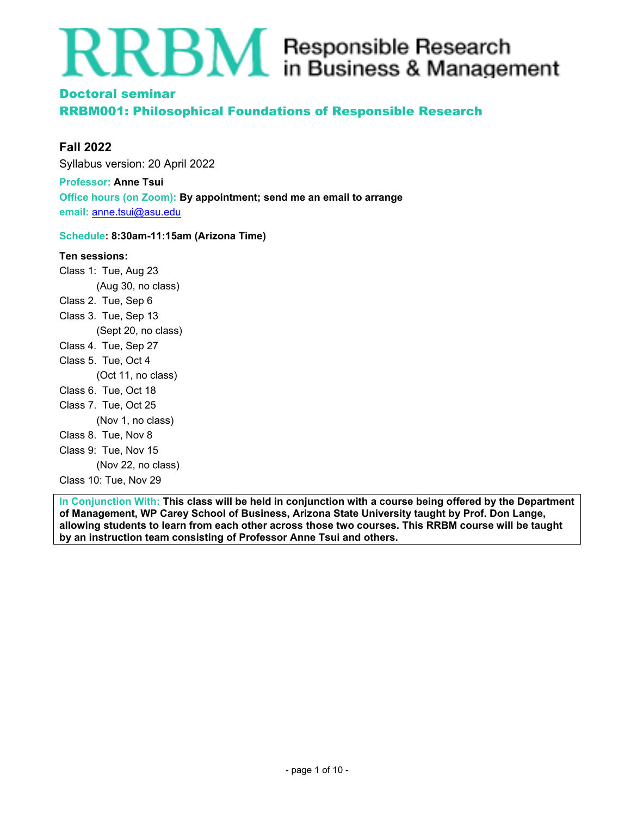# $\mathbf{RBM}{}$  Responsible Research

# Doctoral seminar

RRBM001: Philosophical Foundations of Responsible Research

# **Fall 2022**

Syllabus version: 20 April 2022

**Professor: Anne Tsui Office hours (on Zoom): By appointment; send me an email to arrange email:** anne.tsui@asu.edu

# **Schedule: 8:30am-11:15am (Arizona Time)**

# **Ten sessions:**

Class 1: Tue, Aug 23 (Aug 30, no class) Class 2. Tue, Sep 6 Class 3. Tue, Sep 13 (Sept 20, no class) Class 4. Tue, Sep 27 Class 5. Tue, Oct 4 (Oct 11, no class) Class 6. Tue, Oct 18 Class 7. Tue, Oct 25 (Nov 1, no class) Class 8. Tue, Nov 8 Class 9: Tue, Nov 15 (Nov 22, no class) Class 10: Tue, Nov 29

**In Conjunction With: This class will be held in conjunction with a course being offered by the Department of Management, WP Carey School of Business, Arizona State University taught by Prof. Don Lange, allowing students to learn from each other across those two courses. This RRBM course will be taught by an instruction team consisting of Professor Anne Tsui and others.**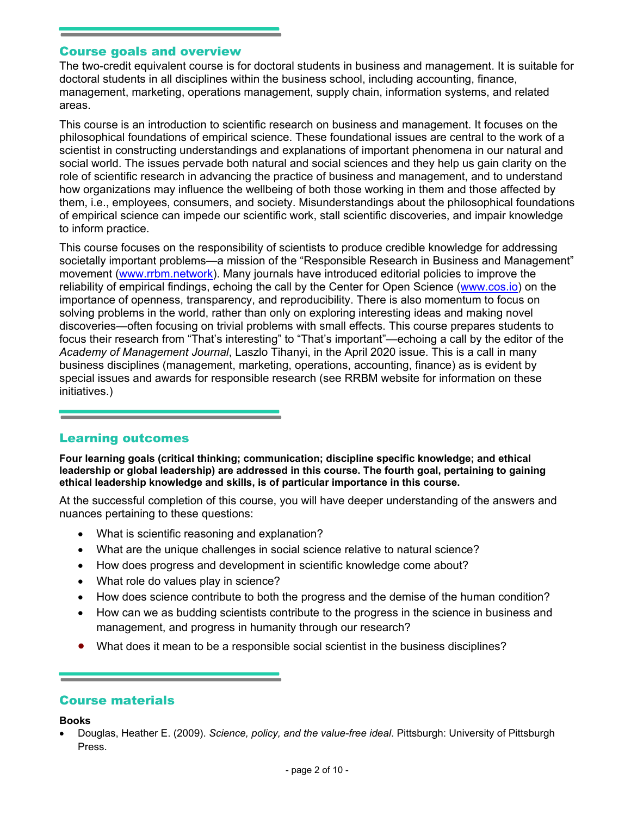# Course goals and overview

The two-credit equivalent course is for doctoral students in business and management. It is suitable for doctoral students in all disciplines within the business school, including accounting, finance, management, marketing, operations management, supply chain, information systems, and related areas.

This course is an introduction to scientific research on business and management. It focuses on the philosophical foundations of empirical science. These foundational issues are central to the work of a scientist in constructing understandings and explanations of important phenomena in our natural and social world. The issues pervade both natural and social sciences and they help us gain clarity on the role of scientific research in advancing the practice of business and management, and to understand how organizations may influence the wellbeing of both those working in them and those affected by them, i.e., employees, consumers, and society. Misunderstandings about the philosophical foundations of empirical science can impede our scientific work, stall scientific discoveries, and impair knowledge to inform practice.

This course focuses on the responsibility of scientists to produce credible knowledge for addressing societally important problems—a mission of the "Responsible Research in Business and Management" movement (www.rrbm.network). Many journals have introduced editorial policies to improve the reliability of empirical findings, echoing the call by the Center for Open Science (www.cos.io) on the importance of openness, transparency, and reproducibility. There is also momentum to focus on solving problems in the world, rather than only on exploring interesting ideas and making novel discoveries—often focusing on trivial problems with small effects. This course prepares students to focus their research from "That's interesting" to "That's important"—echoing a call by the editor of the *Academy of Management Journal*, Laszlo Tihanyi, in the April 2020 issue. This is a call in many business disciplines (management, marketing, operations, accounting, finance) as is evident by special issues and awards for responsible research (see RRBM website for information on these initiatives.)

# Learning outcomes

**Four learning goals (critical thinking; communication; discipline specific knowledge; and ethical leadership or global leadership) are addressed in this course. The fourth goal, pertaining to gaining ethical leadership knowledge and skills, is of particular importance in this course.**

At the successful completion of this course, you will have deeper understanding of the answers and nuances pertaining to these questions:

- What is scientific reasoning and explanation?
- What are the unique challenges in social science relative to natural science?
- How does progress and development in scientific knowledge come about?
- What role do values play in science?
- How does science contribute to both the progress and the demise of the human condition?
- How can we as budding scientists contribute to the progress in the science in business and management, and progress in humanity through our research?
- What does it mean to be a responsible social scientist in the business disciplines?

# Course materials

#### **Books**

 Douglas, Heather E. (2009). *Science, policy, and the value-free ideal*. Pittsburgh: University of Pittsburgh Press.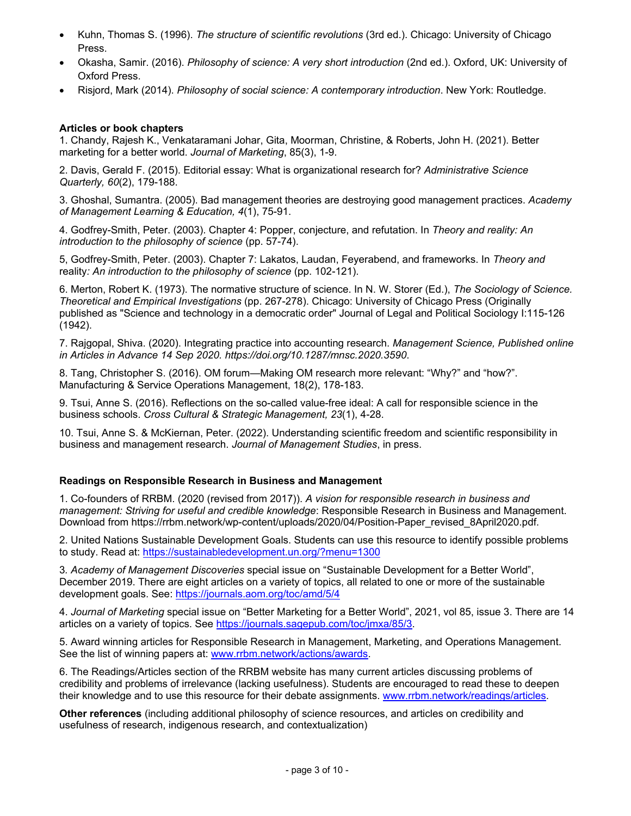- Kuhn, Thomas S. (1996). *The structure of scientific revolutions* (3rd ed.). Chicago: University of Chicago Press.
- Okasha, Samir. (2016). *Philosophy of science: A very short introduction* (2nd ed.). Oxford, UK: University of Oxford Press.
- Risjord, Mark (2014). *Philosophy of social science: A contemporary introduction*. New York: Routledge.

#### **Articles or book chapters**

1. Chandy, Rajesh K., Venkataramani Johar, Gita, Moorman, Christine, & Roberts, John H. (2021). Better marketing for a better world. *Journal of Marketing*, 85(3), 1-9.

2. Davis, Gerald F. (2015). Editorial essay: What is organizational research for? *Administrative Science Quarterly, 60*(2), 179-188.

3. Ghoshal, Sumantra. (2005). Bad management theories are destroying good management practices. *Academy of Management Learning & Education, 4*(1), 75-91.

4. Godfrey-Smith, Peter. (2003). Chapter 4: Popper, conjecture, and refutation. In *Theory and reality: An introduction to the philosophy of science* (pp. 57-74).

5, Godfrey-Smith, Peter. (2003). Chapter 7: Lakatos, Laudan, Feyerabend, and frameworks. In *Theory and*  reality*: An introduction to the philosophy of science* (pp. 102-121).

6. Merton, Robert K. (1973). The normative structure of science. In N. W. Storer (Ed.), *The Sociology of Science. Theoretical and Empirical Investigations* (pp. 267-278). Chicago: University of Chicago Press (Originally published as "Science and technology in a democratic order" Journal of Legal and Political Sociology I:115-126 (1942).

7. Rajgopal, Shiva. (2020). Integrating practice into accounting research. *Management Science, Published online in Articles in Advance 14 Sep 2020. https://doi.org/10.1287/mnsc.2020.3590*.

8. Tang, Christopher S. (2016). OM forum—Making OM research more relevant: "Why?" and "how?". Manufacturing & Service Operations Management, 18(2), 178-183.

9. Tsui, Anne S. (2016). Reflections on the so-called value-free ideal: A call for responsible science in the business schools. *Cross Cultural & Strategic Management, 23*(1), 4-28.

10. Tsui, Anne S. & McKiernan, Peter. (2022). Understanding scientific freedom and scientific responsibility in business and management research. *Journal of Management Studies*, in press.

#### **Readings on Responsible Research in Business and Management**

1. Co-founders of RRBM. (2020 (revised from 2017)). *A vision for responsible research in business and management: Striving for useful and credible knowledge*: Responsible Research in Business and Management. Download from https://rrbm.network/wp-content/uploads/2020/04/Position-Paper\_revised\_8April2020.pdf.

2. United Nations Sustainable Development Goals. Students can use this resource to identify possible problems to study. Read at: https://sustainabledevelopment.un.org/?menu=1300

3*. Academy of Management Discoveries* special issue on "Sustainable Development for a Better World", December 2019. There are eight articles on a variety of topics, all related to one or more of the sustainable development goals. See: https://journals.aom.org/toc/amd/5/4

4. *Journal of Marketing* special issue on "Better Marketing for a Better World", 2021, vol 85, issue 3. There are 14 articles on a variety of topics. See https://journals.sagepub.com/toc/jmxa/85/3.

5. Award winning articles for Responsible Research in Management, Marketing, and Operations Management. See the list of winning papers at: www.rrbm.network/actions/awards.

6. The Readings/Articles section of the RRBM website has many current articles discussing problems of credibility and problems of irrelevance (lacking usefulness). Students are encouraged to read these to deepen their knowledge and to use this resource for their debate assignments. www.rrbm.network/readings/articles.

**Other references** (including additional philosophy of science resources, and articles on credibility and usefulness of research, indigenous research, and contextualization)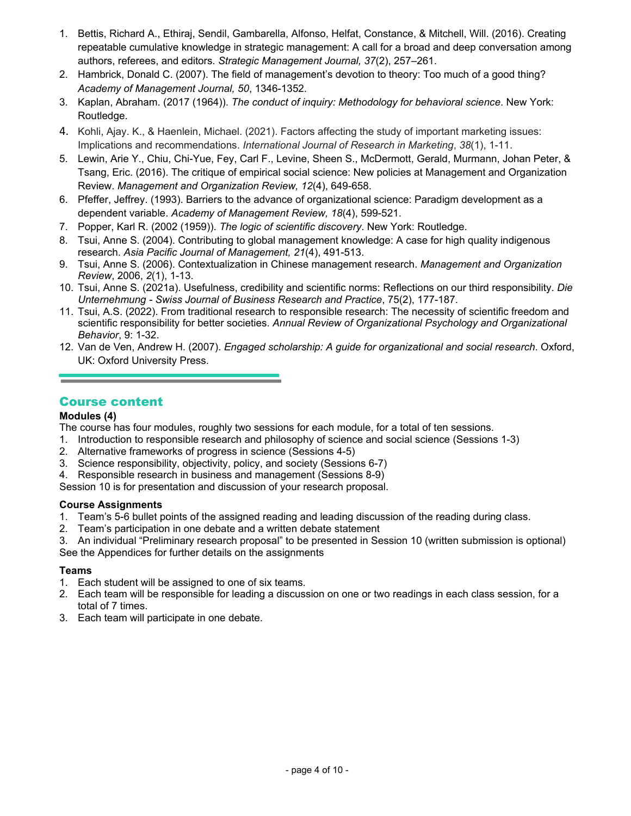- 1. Bettis, Richard A., Ethiraj, Sendil, Gambarella, Alfonso, Helfat, Constance, & Mitchell, Will. (2016). Creating repeatable cumulative knowledge in strategic management: A call for a broad and deep conversation among authors, referees, and editors. *Strategic Management Journal, 37*(2), 257–261.
- 2. Hambrick, Donald C. (2007). The field of management's devotion to theory: Too much of a good thing? *Academy of Management Journal, 50*, 1346-1352.
- 3. Kaplan, Abraham. (2017 (1964)). *The conduct of inquiry: Methodology for behavioral science*. New York: Routledge.
- 4. Kohli, Ajay. K., & Haenlein, Michael. (2021). Factors affecting the study of important marketing issues: Implications and recommendations. *International Journal of Research in Marketing*, *38*(1), 1-11.
- 5. Lewin, Arie Y., Chiu, Chi-Yue, Fey, Carl F., Levine, Sheen S., McDermott, Gerald, Murmann, Johan Peter, & Tsang, Eric. (2016). The critique of empirical social science: New policies at Management and Organization Review. *Management and Organization Review, 12*(4), 649-658.
- 6. Pfeffer, Jeffrey. (1993). Barriers to the advance of organizational science: Paradigm development as a dependent variable. *Academy of Management Review, 18*(4), 599-521.
- 7. Popper, Karl R. (2002 (1959)). *The logic of scientific discovery*. New York: Routledge.
- 8. Tsui, Anne S. (2004). Contributing to global management knowledge: A case for high quality indigenous research. *Asia Pacific Journal of Management, 21*(4), 491-513.
- 9. Tsui, Anne S. (2006). Contextualization in Chinese management research. *Management and Organization Review*, 2006, *2*(1), 1-13.
- 10. Tsui, Anne S. (2021a). Usefulness, credibility and scientific norms: Reflections on our third responsibility. *Die Unternehmung - Swiss Journal of Business Research and Practice*, 75(2), 177-187.
- 11. Tsui, A.S. (2022). From traditional research to responsible research: The necessity of scientific freedom and scientific responsibility for better societies. *Annual Review of Organizational Psychology and Organizational Behavior*, 9: 1-32.
- 12. Van de Ven, Andrew H. (2007). *Engaged scholarship: A guide for organizational and social research*. Oxford, UK: Oxford University Press.

# Course content

#### **Modules (4)**

The course has four modules, roughly two sessions for each module, for a total of ten sessions.

- 1. Introduction to responsible research and philosophy of science and social science (Sessions 1-3)
- 2. Alternative frameworks of progress in science (Sessions 4-5)
- 3. Science responsibility, objectivity, policy, and society (Sessions 6-7)

4. Responsible research in business and management (Sessions 8-9)

Session 10 is for presentation and discussion of your research proposal.

#### **Course Assignments**

- 1. Team's 5-6 bullet points of the assigned reading and leading discussion of the reading during class.
- 2. Team's participation in one debate and a written debate statement

3. An individual "Preliminary research proposal" to be presented in Session 10 (written submission is optional) See the Appendices for further details on the assignments

#### **Teams**

- 1. Each student will be assigned to one of six teams.
- 2. Each team will be responsible for leading a discussion on one or two readings in each class session, for a total of 7 times.
- 3. Each team will participate in one debate.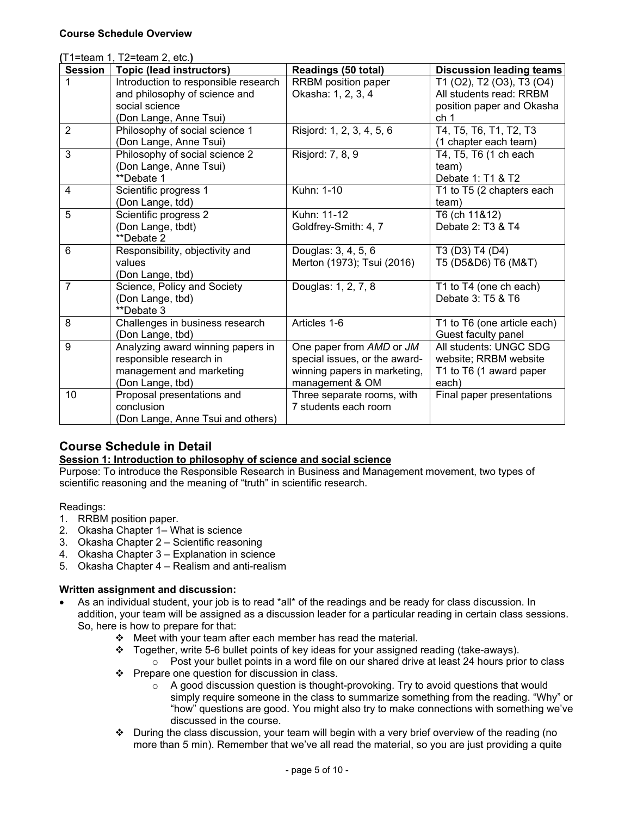| (T1=team 1, T2=team 2, etc.) |                                      |                               |                                 |
|------------------------------|--------------------------------------|-------------------------------|---------------------------------|
| <b>Session</b>               | <b>Topic (lead instructors)</b>      | Readings (50 total)           | <b>Discussion leading teams</b> |
|                              | Introduction to responsible research | RRBM position paper           | T1 (O2), T2 (O3), T3 (O4)       |
|                              | and philosophy of science and        | Okasha: 1, 2, 3, 4            | All students read: RRBM         |
|                              | social science                       |                               | position paper and Okasha       |
|                              | (Don Lange, Anne Tsui)               |                               | ch 1                            |
| $\overline{2}$               | Philosophy of social science 1       | Risjord: 1, 2, 3, 4, 5, 6     | T4, T5, T6, T1, T2, T3          |
|                              | (Don Lange, Anne Tsui)               |                               | (1 chapter each team)           |
| 3                            | Philosophy of social science 2       | Risjord: 7, 8, 9              | T4, T5, T6 (1 ch each           |
|                              | (Don Lange, Anne Tsui)               |                               | team)                           |
|                              | **Debate 1                           |                               | Debate 1: T1 & T2               |
| $\overline{4}$               | Scientific progress 1                | Kuhn: 1-10                    | T1 to T5 (2 chapters each       |
|                              | (Don Lange, tdd)                     |                               | team)                           |
| 5                            | Scientific progress 2                | Kuhn: 11-12                   | T6 (ch 11&12)                   |
|                              | (Don Lange, tbdt)                    | Goldfrey-Smith: 4, 7          | Debate 2: T3 & T4               |
|                              | **Debate 2                           |                               |                                 |
| 6                            | Responsibility, objectivity and      | Douglas: 3, 4, 5, 6           | $\overline{13}$ (D3) T4 (D4)    |
|                              | values                               | Merton (1973); Tsui (2016)    | T5 (D5&D6) T6 (M&T)             |
|                              | (Don Lange, tbd)                     |                               |                                 |
| $\overline{7}$               | Science, Policy and Society          | Douglas: 1, 2, 7, 8           | T1 to T4 (one ch each)          |
|                              | (Don Lange, tbd)                     |                               | Debate 3: T5 & T6               |
|                              | **Debate 3                           |                               |                                 |
| 8                            | Challenges in business research      | Articles 1-6                  | T1 to T6 (one article each)     |
|                              | (Don Lange, tbd)                     |                               | Guest faculty panel             |
| 9                            | Analyzing award winning papers in    | One paper from AMD or JM      | All students: UNGC SDG          |
|                              | responsible research in              | special issues, or the award- | website; RRBM website           |
|                              | management and marketing             | winning papers in marketing,  | T1 to T6 (1 award paper         |
|                              | (Don Lange, tbd)                     | management & OM               | each)                           |
| 10                           | Proposal presentations and           | Three separate rooms, with    | Final paper presentations       |
|                              | conclusion                           | 7 students each room          |                                 |
|                              | (Don Lange, Anne Tsui and others)    |                               |                                 |

# **Course Schedule in Detail**

# **Session 1: Introduction to philosophy of science and social science**

Purpose: To introduce the Responsible Research in Business and Management movement, two types of scientific reasoning and the meaning of "truth" in scientific research.

# Readings:

- 1. RRBM position paper.
- 2. Okasha Chapter 1– What is science
- 3. Okasha Chapter 2 Scientific reasoning
- 4. Okasha Chapter 3 Explanation in science
- 5. Okasha Chapter 4 Realism and anti-realism

# **Written assignment and discussion:**

- As an individual student, your job is to read \*all\* of the readings and be ready for class discussion. In addition, your team will be assigned as a discussion leader for a particular reading in certain class sessions. So, here is how to prepare for that:
	- $\div$  Meet with your team after each member has read the material.
	- $\div$  Together, write 5-6 bullet points of key ideas for your assigned reading (take-aways).
	- $\circ$  Post your bullet points in a word file on our shared drive at least 24 hours prior to class  $\div$  Prepare one question for discussion in class.
		- o A good discussion question is thought-provoking. Try to avoid questions that would simply require someone in the class to summarize something from the reading. "Why" or "how" questions are good. You might also try to make connections with something we've discussed in the course.
	- $\cdot \cdot$  During the class discussion, your team will begin with a very brief overview of the reading (no more than 5 min). Remember that we've all read the material, so you are just providing a quite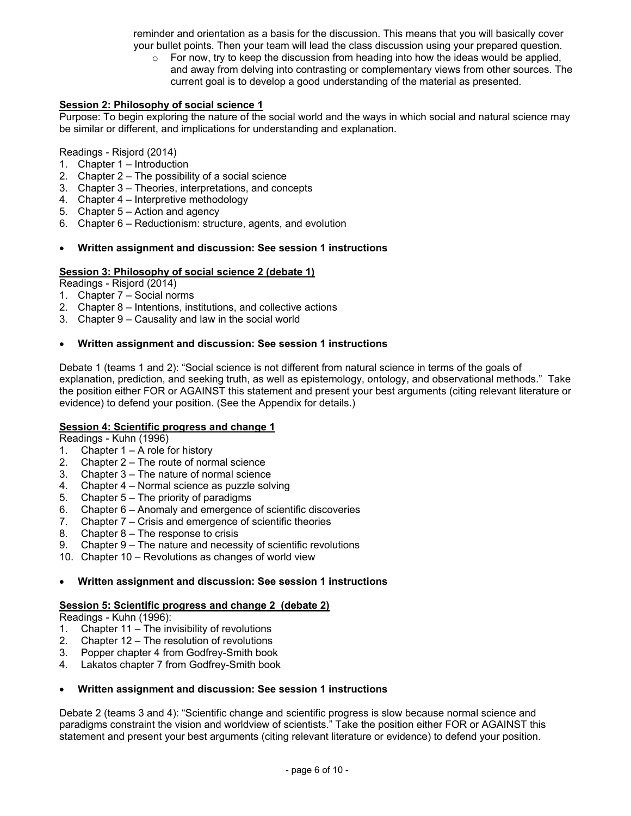reminder and orientation as a basis for the discussion. This means that you will basically cover your bullet points. Then your team will lead the class discussion using your prepared question.

 $\circ$  For now, try to keep the discussion from heading into how the ideas would be applied, and away from delving into contrasting or complementary views from other sources. The current goal is to develop a good understanding of the material as presented.

#### **Session 2: Philosophy of social science 1**

Purpose: To begin exploring the nature of the social world and the ways in which social and natural science may be similar or different, and implications for understanding and explanation.

#### Readings - Risjord (2014)

- 1. Chapter 1 Introduction
- 2. Chapter 2 The possibility of a social science
- 3. Chapter 3 Theories, interpretations, and concepts
- 4. Chapter 4 Interpretive methodology
- 5. Chapter 5 Action and agency
- 6. Chapter 6 Reductionism: structure, agents, and evolution

#### **Written assignment and discussion: See session 1 instructions**

#### **Session 3: Philosophy of social science 2 (debate 1)**

Readings - Risjord (2014)

- 1. Chapter 7 Social norms
- 2. Chapter 8 Intentions, institutions, and collective actions
- 3. Chapter 9 Causality and law in the social world

#### **Written assignment and discussion: See session 1 instructions**

Debate 1 (teams 1 and 2): "Social science is not different from natural science in terms of the goals of explanation, prediction, and seeking truth, as well as epistemology, ontology, and observational methods." Take the position either FOR or AGAINST this statement and present your best arguments (citing relevant literature or evidence) to defend your position. (See the Appendix for details.)

#### **Session 4: Scientific progress and change 1**

Readings - Kuhn (1996)

- 1. Chapter 1 A role for history
- 2. Chapter 2 The route of normal science
- 3. Chapter 3 The nature of normal science
- 4. Chapter 4 Normal science as puzzle solving
- 5. Chapter 5 The priority of paradigms
- 6. Chapter 6 Anomaly and emergence of scientific discoveries
- 7. Chapter 7 Crisis and emergence of scientific theories
- 8. Chapter 8 The response to crisis
- 9. Chapter 9 The nature and necessity of scientific revolutions
- 10. Chapter 10 Revolutions as changes of world view

#### **Written assignment and discussion: See session 1 instructions**

#### **Session 5: Scientific progress and change 2 (debate 2)**

Readings - Kuhn (1996):

- 1. Chapter 11 The invisibility of revolutions
- 2. Chapter 12 The resolution of revolutions
- 3. Popper chapter 4 from Godfrey-Smith book
- 4. Lakatos chapter 7 from Godfrey-Smith book

#### **Written assignment and discussion: See session 1 instructions**

Debate 2 (teams 3 and 4): "Scientific change and scientific progress is slow because normal science and paradigms constraint the vision and worldview of scientists." Take the position either FOR or AGAINST this statement and present your best arguments (citing relevant literature or evidence) to defend your position.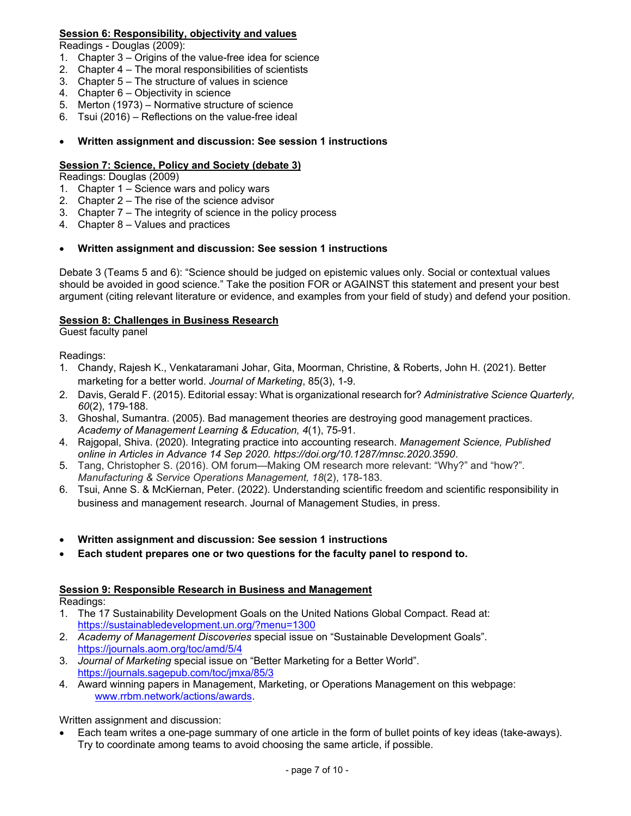## **Session 6: Responsibility, objectivity and values**

Readings - Douglas (2009):

- 1. Chapter 3 Origins of the value-free idea for science
- 2. Chapter 4 The moral responsibilities of scientists
- 3. Chapter 5 The structure of values in science
- 4. Chapter 6 Objectivity in science
- 5. Merton (1973) Normative structure of science
- 6. Tsui (2016) Reflections on the value-free ideal

#### **Written assignment and discussion: See session 1 instructions**

#### **Session 7: Science, Policy and Society (debate 3)**

Readings: Douglas (2009)

- 1. Chapter 1 Science wars and policy wars
- 2. Chapter 2 The rise of the science advisor
- 3. Chapter 7 The integrity of science in the policy process
- 4. Chapter 8 Values and practices

#### **Written assignment and discussion: See session 1 instructions**

Debate 3 (Teams 5 and 6): "Science should be judged on epistemic values only. Social or contextual values should be avoided in good science." Take the position FOR or AGAINST this statement and present your best argument (citing relevant literature or evidence, and examples from your field of study) and defend your position.

#### **Session 8: Challenges in Business Research**

Guest faculty panel

Readings:

- 1. Chandy, Rajesh K., Venkataramani Johar, Gita, Moorman, Christine, & Roberts, John H. (2021). Better marketing for a better world. *Journal of Marketing*, 85(3), 1-9.
- 2. Davis, Gerald F. (2015). Editorial essay: What is organizational research for? *Administrative Science Quarterly, 60*(2), 179-188.
- 3. Ghoshal, Sumantra. (2005). Bad management theories are destroying good management practices. *Academy of Management Learning & Education, 4*(1), 75-91.
- 4. Rajgopal, Shiva. (2020). Integrating practice into accounting research. *Management Science, Published online in Articles in Advance 14 Sep 2020. https://doi.org/10.1287/mnsc.2020.3590*.
- 5. Tang, Christopher S. (2016). OM forum—Making OM research more relevant: "Why?" and "how?". *Manufacturing & Service Operations Management, 18*(2), 178-183.
- 6. Tsui, Anne S. & McKiernan, Peter. (2022). Understanding scientific freedom and scientific responsibility in business and management research. Journal of Management Studies, in press.
- **Written assignment and discussion: See session 1 instructions**
- **Each student prepares one or two questions for the faculty panel to respond to.**

#### **Session 9: Responsible Research in Business and Management**

Readings:

- 1. The 17 Sustainability Development Goals on the United Nations Global Compact. Read at: https://sustainabledevelopment.un.org/?menu=1300
- 2. *Academy of Management Discoveries* special issue on "Sustainable Development Goals". https://journals.aom.org/toc/amd/5/4
- 3. *Journal of Marketing* special issue on "Better Marketing for a Better World". https://journals.sagepub.com/toc/jmxa/85/3
- 4. Award winning papers in Management, Marketing, or Operations Management on this webpage: www.rrbm.network/actions/awards.

Written assignment and discussion:

 Each team writes a one-page summary of one article in the form of bullet points of key ideas (take-aways). Try to coordinate among teams to avoid choosing the same article, if possible.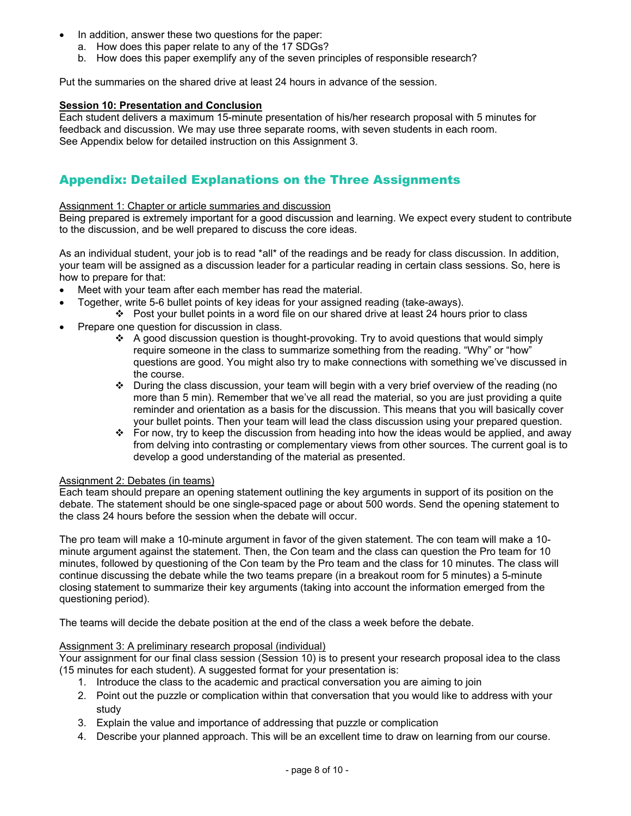- In addition, answer these two questions for the paper:
	- a. How does this paper relate to any of the 17 SDGs?
	- b. How does this paper exemplify any of the seven principles of responsible research?

Put the summaries on the shared drive at least 24 hours in advance of the session.

#### **Session 10: Presentation and Conclusion**

Each student delivers a maximum 15-minute presentation of his/her research proposal with 5 minutes for feedback and discussion. We may use three separate rooms, with seven students in each room. See Appendix below for detailed instruction on this Assignment 3.

# Appendix: Detailed Explanations on the Three Assignments

#### Assignment 1: Chapter or article summaries and discussion

Being prepared is extremely important for a good discussion and learning. We expect every student to contribute to the discussion, and be well prepared to discuss the core ideas.

As an individual student, your job is to read \*all\* of the readings and be ready for class discussion. In addition, your team will be assigned as a discussion leader for a particular reading in certain class sessions. So, here is how to prepare for that:

- Meet with your team after each member has read the material.
	- Together, write 5-6 bullet points of key ideas for your assigned reading (take-aways).
	- $\div$  Post your bullet points in a word file on our shared drive at least 24 hours prior to class Prepare one question for discussion in class.
		- A good discussion question is thought-provoking. Try to avoid questions that would simply require someone in the class to summarize something from the reading. "Why" or "how" questions are good. You might also try to make connections with something we've discussed in the course.
		- \* During the class discussion, your team will begin with a very brief overview of the reading (no more than 5 min). Remember that we've all read the material, so you are just providing a quite reminder and orientation as a basis for the discussion. This means that you will basically cover your bullet points. Then your team will lead the class discussion using your prepared question.
		- For now, try to keep the discussion from heading into how the ideas would be applied, and away from delving into contrasting or complementary views from other sources. The current goal is to develop a good understanding of the material as presented.

#### Assignment 2: Debates (in teams)

Each team should prepare an opening statement outlining the key arguments in support of its position on the debate. The statement should be one single-spaced page or about 500 words. Send the opening statement to the class 24 hours before the session when the debate will occur.

The pro team will make a 10-minute argument in favor of the given statement. The con team will make a 10 minute argument against the statement. Then, the Con team and the class can question the Pro team for 10 minutes, followed by questioning of the Con team by the Pro team and the class for 10 minutes. The class will continue discussing the debate while the two teams prepare (in a breakout room for 5 minutes) a 5-minute closing statement to summarize their key arguments (taking into account the information emerged from the questioning period).

The teams will decide the debate position at the end of the class a week before the debate.

#### Assignment 3: A preliminary research proposal (individual)

Your assignment for our final class session (Session 10) is to present your research proposal idea to the class (15 minutes for each student). A suggested format for your presentation is:

- 1. Introduce the class to the academic and practical conversation you are aiming to join
- 2. Point out the puzzle or complication within that conversation that you would like to address with your study
- 3. Explain the value and importance of addressing that puzzle or complication
- 4. Describe your planned approach. This will be an excellent time to draw on learning from our course.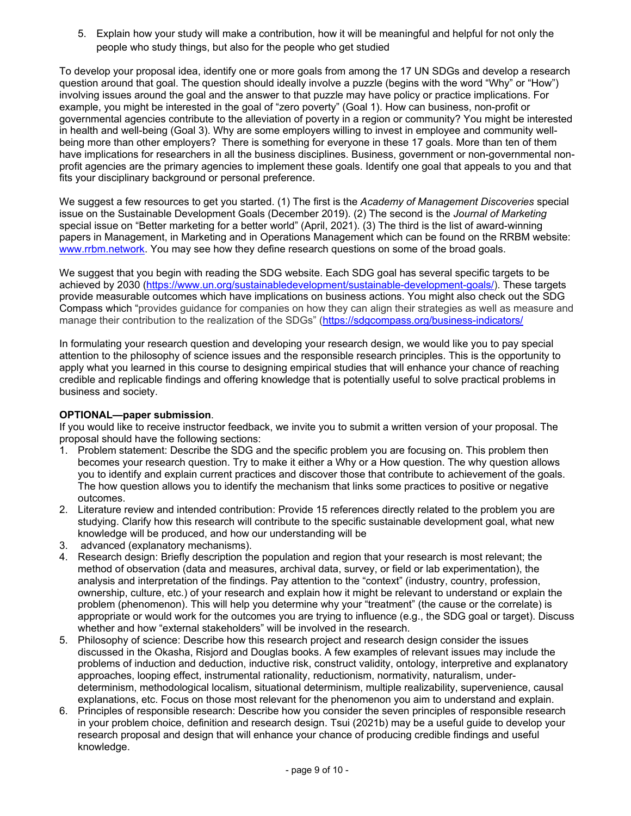5. Explain how your study will make a contribution, how it will be meaningful and helpful for not only the people who study things, but also for the people who get studied

To develop your proposal idea, identify one or more goals from among the 17 UN SDGs and develop a research question around that goal. The question should ideally involve a puzzle (begins with the word "Why" or "How") involving issues around the goal and the answer to that puzzle may have policy or practice implications. For example, you might be interested in the goal of "zero poverty" (Goal 1). How can business, non-profit or governmental agencies contribute to the alleviation of poverty in a region or community? You might be interested in health and well-being (Goal 3). Why are some employers willing to invest in employee and community wellbeing more than other employers? There is something for everyone in these 17 goals. More than ten of them have implications for researchers in all the business disciplines. Business, government or non-governmental nonprofit agencies are the primary agencies to implement these goals. Identify one goal that appeals to you and that fits your disciplinary background or personal preference.

We suggest a few resources to get you started. (1) The first is the *Academy of Management Discoveries* special issue on the Sustainable Development Goals (December 2019). (2) The second is the *Journal of Marketing* special issue on "Better marketing for a better world" (April, 2021). (3) The third is the list of award-winning papers in Management, in Marketing and in Operations Management which can be found on the RRBM website: www.rrbm.network. You may see how they define research questions on some of the broad goals.

We suggest that you begin with reading the SDG website. Each SDG goal has several specific targets to be achieved by 2030 (https://www.un.org/sustainabledevelopment/sustainable-development-goals/). These targets provide measurable outcomes which have implications on business actions. You might also check out the SDG Compass which "provides guidance for companies on how they can align their strategies as well as measure and manage their contribution to the realization of the SDGs" (https://sdgcompass.org/business-indicators/

In formulating your research question and developing your research design, we would like you to pay special attention to the philosophy of science issues and the responsible research principles. This is the opportunity to apply what you learned in this course to designing empirical studies that will enhance your chance of reaching credible and replicable findings and offering knowledge that is potentially useful to solve practical problems in business and society.

#### **OPTIONAL—paper submission**.

If you would like to receive instructor feedback, we invite you to submit a written version of your proposal. The proposal should have the following sections:

- 1. Problem statement: Describe the SDG and the specific problem you are focusing on. This problem then becomes your research question. Try to make it either a Why or a How question. The why question allows you to identify and explain current practices and discover those that contribute to achievement of the goals. The how question allows you to identify the mechanism that links some practices to positive or negative outcomes.
- 2. Literature review and intended contribution: Provide 15 references directly related to the problem you are studying. Clarify how this research will contribute to the specific sustainable development goal, what new knowledge will be produced, and how our understanding will be
- 3. advanced (explanatory mechanisms).
- 4. Research design: Briefly description the population and region that your research is most relevant; the method of observation (data and measures, archival data, survey, or field or lab experimentation), the analysis and interpretation of the findings. Pay attention to the "context" (industry, country, profession, ownership, culture, etc.) of your research and explain how it might be relevant to understand or explain the problem (phenomenon). This will help you determine why your "treatment" (the cause or the correlate) is appropriate or would work for the outcomes you are trying to influence (e.g., the SDG goal or target). Discuss whether and how "external stakeholders" will be involved in the research.
- 5. Philosophy of science: Describe how this research project and research design consider the issues discussed in the Okasha, Risjord and Douglas books. A few examples of relevant issues may include the problems of induction and deduction, inductive risk, construct validity, ontology, interpretive and explanatory approaches, looping effect, instrumental rationality, reductionism, normativity, naturalism, underdeterminism, methodological localism, situational determinism, multiple realizability, supervenience, causal explanations, etc. Focus on those most relevant for the phenomenon you aim to understand and explain.
- 6. Principles of responsible research: Describe how you consider the seven principles of responsible research in your problem choice, definition and research design. Tsui (2021b) may be a useful guide to develop your research proposal and design that will enhance your chance of producing credible findings and useful knowledge.